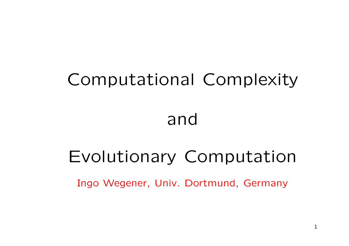# Computational Complexity

# and

# Evolutionary Computation

Ingo Wegener, Univ. Dortmund, Germany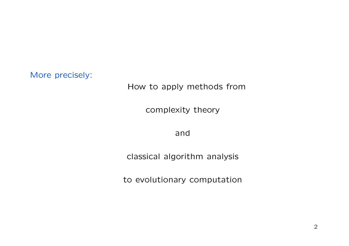More precisely:

### How to apply methods from

complexity theory

and

classical algorithm analysis

to evolutionary computation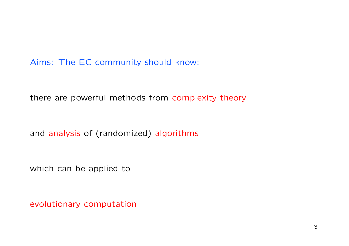Aims: The EC community should know:

there are powerful methods from complexity theory

and analysis of (randomized) algorithms

which can be applied to

evolutionary computation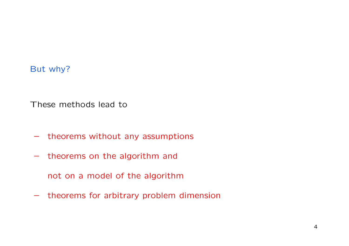### But why?

These methods lead to

- theorems without any assumptions
- theorems on the algorithm and
	- not on <sup>a</sup> model of the algorithm
- theorems for arbitrary problem dimension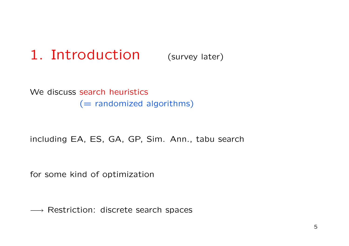#### 1. Introduction(survey later)

We discuss search heuristics (= randomized algorithms)

including EA, ES, GA, GP, Sim. Ann., tabu search

for some kind of optimization

 $\longrightarrow$  Restriction: discrete search spaces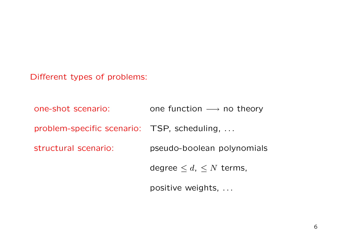Different types of problems:

one-shot scenario: onee function  $\longrightarrow$  no theory problem-specific scenario: TSP, scheduling, ... structural scenario: pseudo-boolean polynomials degree  $\leq d$ ,  $\leq N$  terms,

positive weights, ...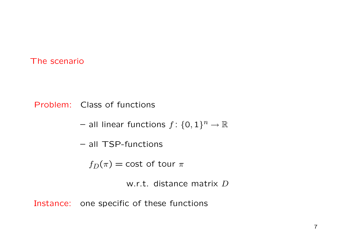#### The scenario

Problem: Class of functions

- $-$  all linear functions  $f\colon \{0,1\}^n \to \mathbb{R}$
- all TSP-functions

 $f_D(\pi) = \text{cost of tour } \pi$ 

w.r.t. distance matrix  $D$ 

Instance: one specific of these functions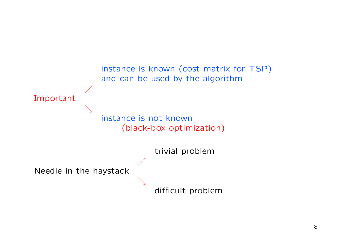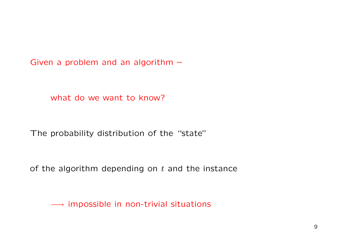Given <sup>a</sup> problem and an algorithm –

what do we want to know?

The probability distribution of the "state"

of the algorithm depending on  $t$  and the instance

 $\longrightarrow$  impossible in non-trivial situations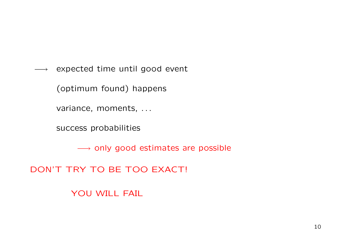$\longrightarrow$   $\;$  expected time until good event

(optimum found) happens

variance, moments, ...

success probabilities

 $\longrightarrow$  only good estimates are possible

DON'T TRY TO BE TOO EXACT!

YOU WILL FAIL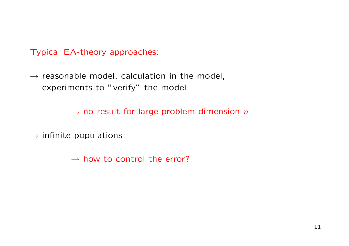Typical EA-theory approaches:

 $\rightarrow$  reasonable model, calculation in the model, experiments to "verify" the model

 $\rightarrow$  no result for large problem dimension  $n$ 

 $\rightarrow$  infinite populations

 $\rightarrow$  how to control the error?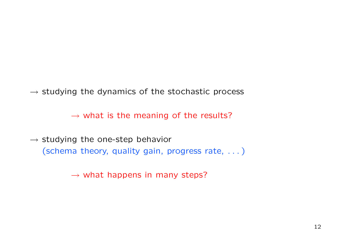$\rightarrow$  studying the dynamics of the stochastic process

 $\rightarrow$  what is the meaning of the results?

 $\rightarrow$  studying the one-step behavior (schema theory, quality gain, progress rate, . . . )

 $\rightarrow$  what happens in many steps?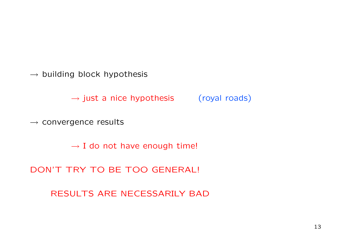$\rightarrow$  building block hypothesis

 $\rightarrow$  just a nice hypothesis  $($  royal roads)

 $\rightarrow$  convergence results

 $\rightarrow$  I do not have enough time!

DON'T TRY TO BE TOO GENERAL!

RESULTS ARE NECESSARILY BAD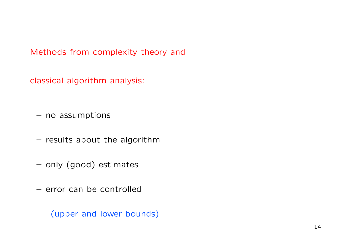Methods from complexity theory and

classical algorithm analysis:

– no assumptions

– results about the algorithm

–– only (good) estimates

– error can be controlled

(upper and lower bounds)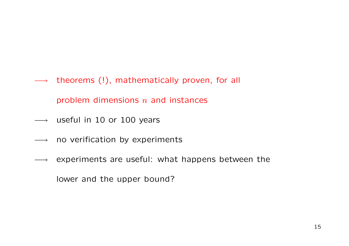−→ theorems (!), mathematically proven, for all

problem dimensions  $n$  and instances

- $\longrightarrow$  useful in 10 or 100 years
- $\longrightarrow$  no verification by experiments
- $\longrightarrow$  experiments are useful: what happens between the

lower and the upper bound?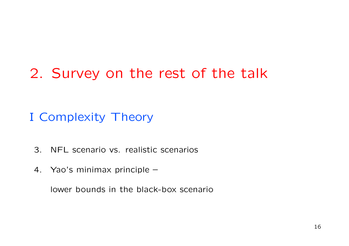## 2. Survey on the rest of the talk

I Complexity Theory

- 3. NFL scenario vs. realistic scenarios
- 4. Yao's minimax principle –

lower bounds in the black-box scenario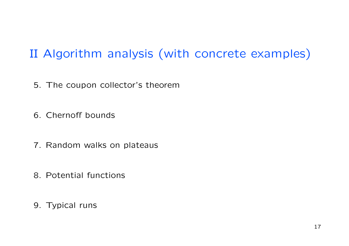### II Algorithm analysis (with concrete examples)

5. The coupon collector's theorem

6. Chernoff bounds

- 7. Random walks on plateaus
- 8. Potential functions
- 9. Typical runs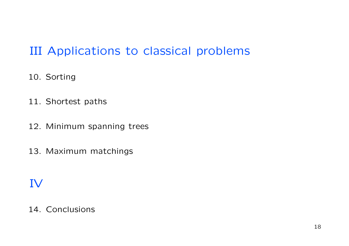### III Applications to classical problems

- 10. Sorting
- 11. Shortest paths
- 12. Minimum spanning trees
- 13. Maximum matchings

### IV

### 14. Conclusions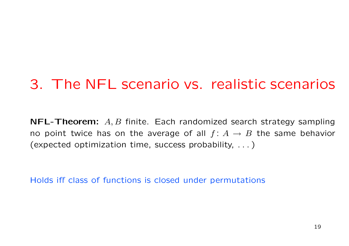## 3. The NFL scenario vs. realistic scenarios

 $\mathsf{\mathsf{NFL}\text{-}\mathsf{Theorem}\text{:}}\;\;A,B$  finite. Each randomized search strategy sampling no point twice has on the average of all  $f\colon A\to B$  the same behavior (expected optimization time, success probability, . . . )

Holds iff class of functions is closed under permutations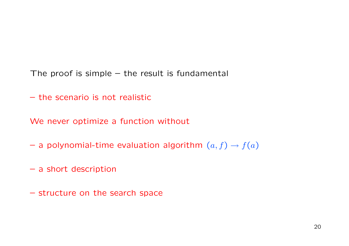- The proof is simple the result is fundamental
- the scenario is not realistic

We never optimize <sup>a</sup> function without

- $-$  a polynomial-time evaluation algorithm  $(a,f)\rightarrow f(a)$
- <sup>a</sup> short description
- structure on the search space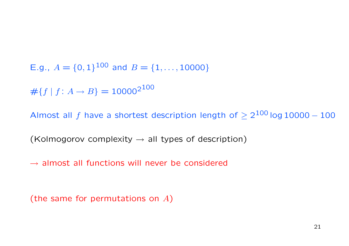E.g.,  $A = \{0, 1\}^{100}$  and  $B = \{1, ..., 10000\}$  $#{f | f: A \rightarrow B} = 10000^{2100}$ 

Almost all  $f$  have a shortest description length of  $\geq 2^{100}$  log 10000  $-$  100

(Kolmogorov complexity  $\rightarrow$  all types of description)

 $\rightarrow$  almost all functions will never be considered

(the same for permutations on  $A$ )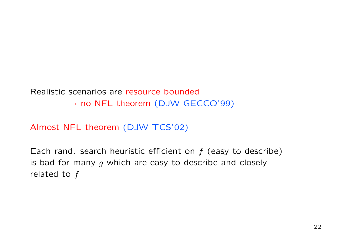Realistic scenarios are resource bounded $\rightarrow$  no NFL theorem (DJW GECCO'99)

Almost NFL theorem (DJW TCS'02)

Each rand. search heuristic efficient on  $f$  (easy to describe) is bad for many  $g$  which are easy to describe and closely related to  $f$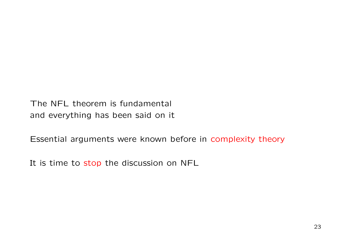The NFL theorem is fundamental and everything has been said on it

Essential arguments were known before in complexity theory

It is time to stop the discussion on NFL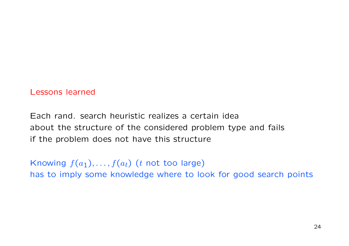#### Lessons learned

Each rand. search heuristic realizes a certain idea about the structure of the considered problem type and fails if the problem does not have this structure

Knowing  $f(a_1), \ldots, f(a_t)$  (t not too large) has to imply some knowledge where to look for good search points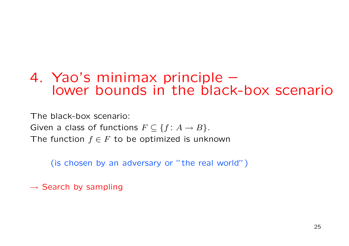### 4. Yao's minimax principle – lower bounds in the black-box scenario

The black-box scenario: Given a class of functions  $F \subseteq \{f\colon A \to B\}.$ The function  $f\in F$  to be optimized is unknown

(is chosen by an adversary or "the real world")

 $\rightarrow$  Search by sampling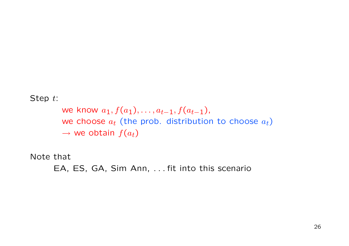Step t:

we know  $a_1, f(a_1), \ldots, a_{t-1}, f(a_{t-1}),$ we choose  $a_{\boldsymbol{t}}$  (the prob. distribution to choose  $a_{\boldsymbol{t}})$  $\rightarrow$  we obtain  $f(a_t)$ 

Note that

EA, ES, GA, Sim Ann, . . . fit into this scenario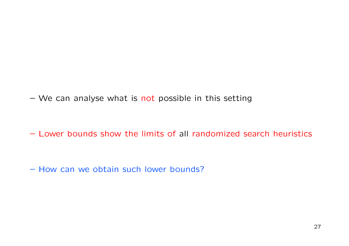– We can analyse what is not possible in this setting

– Lower bounds show the limits of all randomized search heuristics

– How can we obtain such lower bounds?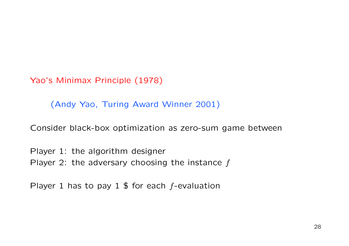Yao's Minimax Principle (1978)

(Andy Yao, Turing Award Winner 2001)

Consider black-box optimization as zero-sum game between

Player 1: the algorithm designer Player 2: the adversary choosing the instance  $f$ 

Player 1 has to pay 1 \$ for each  $f$ -evaluation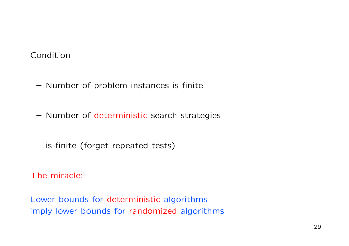### Condition

- Number of problem instances is finite
- Number of deterministic search strategies
	- is finite (forget repeated tests)

The miracle:

Lower bounds for deterministic algorithms imply lower bounds for randomized algorithms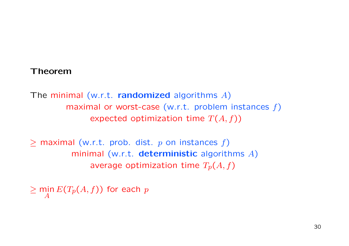#### Theorem

The minimal (w.r.t. randomized algorithms  $A$ ) maximal or worst-case (w.r.t. problem instances  $f$ ) expected optimization time  $T(A, f)$ )

 $>$  maximal (w.r.t. prob. dist. p on instances f) minimal (w.r.t.  $\sf{deterministic}$  algorithms  $A)$ average optimization time  $T_p(A, f)$ 

 $\geq \min_A E(T_p(A, f))$  for each  $p$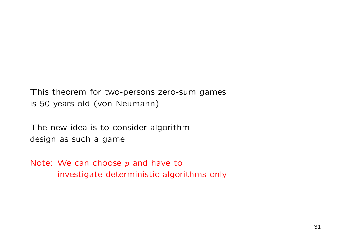This theorem for two-persons zero-sum games is 50 years old (von Neumann)

The new idea is to consider algorithm design as such <sup>a</sup> game

Note: We can choose  $p$  and have to investigate deterministic algorithms only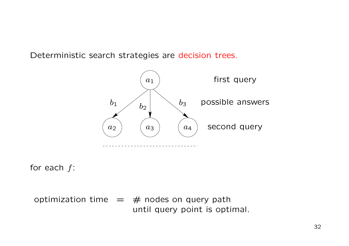Deterministic search strategies are decision trees.



for each  $f\colon$ 

optimization time  $=$   $\#$  nodes on query path until query point is optimal.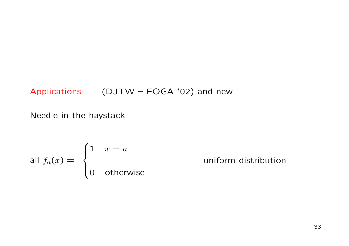### Applications  $(DJTW - FOGA'02)$  and new

Needle in the haystack

all 
$$
f_a(x) =
$$
\n
$$
\begin{cases}\n1 & x = a \\
0 & \text{otherwise}\n\end{cases}
$$
uniform distribution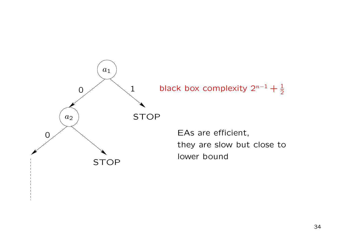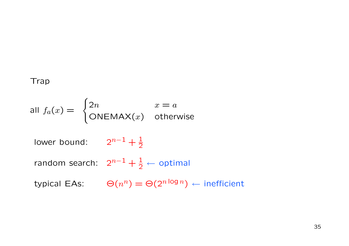### Trap

all 
$$
f_a(x) =\begin{cases} 2n & x = a \\ \text{ONEMAX}(x) & \text{otherwise} \end{cases}
$$
  
\nlower bound:  $2^{n-1} + \frac{1}{2}$   
\nrandom search:  $2^{n-1} + \frac{1}{2} \leftarrow \text{optimal}$   
\ntypical EAs:  $\Theta(n^n) = \Theta(2^{n \log n}) \leftarrow \text{inefficient}$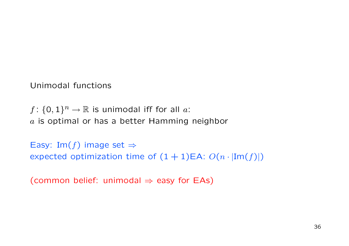Unimodal functions

 $f: \{0,1\}^n \to \mathbb{R}$  is unimodal iff for all a:  $\it a$  is optimal or has a better Hamming neighbor

Easy: Im(f) image set  $\Rightarrow$ expected optimization time of  $(1 + 1)EA$ :  $O(n \cdot |Im(f)|)$ 

(common belief: unimodal  $\Rightarrow$  easy for EAs)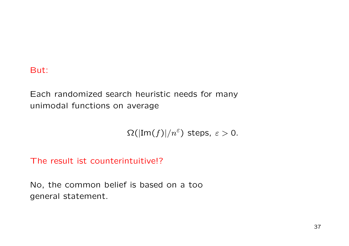#### But:

Each randomized search heuristic needs for many unimodal functions on average

 $\Omega(|\text{Im}(f)|/n^{\varepsilon})$  steps,  $\varepsilon > 0$ .

The result ist counterintuitive!?

No, the common belief is based on <sup>a</sup> too general statement.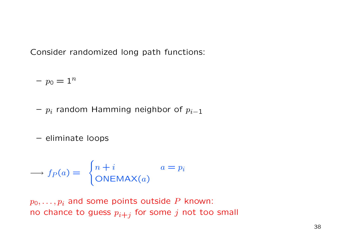Consider randomized long path functions:

 $p_0 = 1^n$ 

- $\displaystyle{p_i}$  random Hamming neighbor of  $\displaystyle{p_{i-1}}$
- eliminate loops

$$
\longrightarrow f_P(a) = \begin{cases} n+i & a = p_i \\ \text{ONEMAX}(a) & \end{cases}
$$

 $p_0, \ldots, p_i$  and some points outside  $P$  known: no chance to guess  $p_{i+j}$  for some  $j$  not too small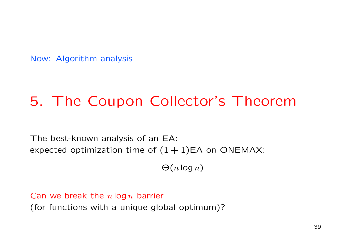Now: Algorithm analysis

## 5. The Coupon Collector's Theorem

The best-known analysis of an EA: expected optimization time of  $(1 + 1)EA$  on ONEMAX:

 $\Theta(n \log n)$ 

Can we break the  $n\log n$  barrier (for functions with <sup>a</sup> unique global optimum)?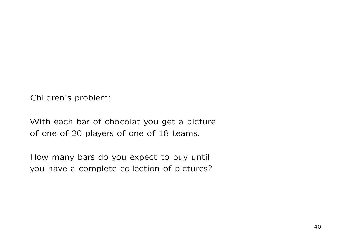Children's problem:

With each bar of chocolat you get <sup>a</sup> picture of one of 20 players of one of 18 teams.

How many bars do you expect to buy until you have <sup>a</sup> complete collection of pictures?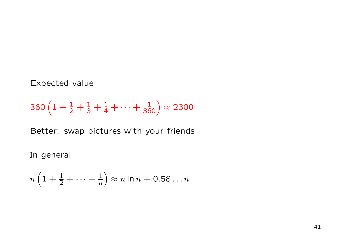#### Expected value

$$
360\left(1+\frac{1}{2}+\frac{1}{3}+\frac{1}{4}+\cdots+\frac{1}{360}\right) \approx 2300
$$

Better: swap pictures with your friends

In general

$$
n\left(1+\frac{1}{2}+\cdots+\frac{1}{n}\right)\approx n\ln n+0.58\ldots n
$$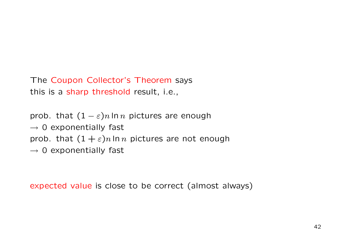```
The Coupon Collector's Theorem says
this is a sharp threshold result, i.e.,
```
prob. that  $(1 - \varepsilon)n \ln n$  pictures are enough  $\rightarrow$  0 exponentially fast prob. that  $(1 + \varepsilon)n \ln n$  pictures are not enough  $\rightarrow$  0 exponentially fast

expected value is close to be correct (almost always)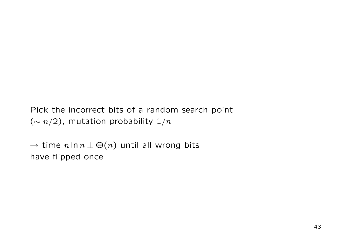Pick the incorrect bits of a random search point  $({\sim n/2})$ , mutation probability  $1/n$ 

 $\rightarrow$  time  $n \ln n \pm \Theta(n)$  until all wrong bits have flipped once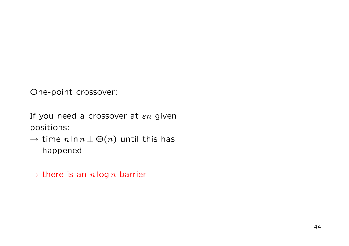One-point crossover:

If you need a crossover at  $\varepsilon n$  given positions:

 $\rightarrow$  time  $n \ln n \pm \Theta(n)$  until this has happened

 $\rightarrow$  there is an  $n\log n$  barrier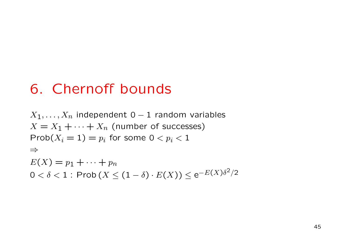## 6. Chernoff bounds

 $X_1, \ldots, X_n$  independent 0 – 1 random variables  $X = X_{\mathbf{1}} + \cdots + X_{n}$  (number of successes)  $\mathsf{Prob}(X_i = 1) = p_i$  for some  $0 < p_i < 1$ ⇒ $E(X) = p_1 + \cdots + p_n$  $0<\delta < 1$  : Prob  $(X \leq (1-\delta)\cdot E(X)) \leq \mathrm{e}^{-E(X)\delta^2/2}$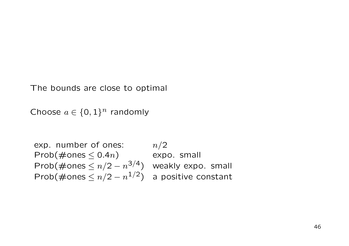The bounds are close to optimal

Choose  $a \in \{0,1\}^n$  randomly

exp. number of ones:  $n/2$ Prob(#ones  $\leq 0.4n$ ) expo. small Prob(#ones  $\leq n/2 - n^{3/4}$ ) weakly expo. small Prob(#ones  $\leq n/2 - n^{1/2}$ ) a positive constant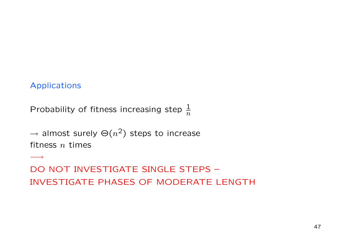#### Applications

−→

Probability of fitness increasing step  $\frac{1}{n}$ 

 $\rightarrow$  almost surely  $\Theta(n^2)$  steps to increase fitness  $n$  times

DO NOT INVESTIGATE SINGLE STEPS – INVESTIGATE PHASES OF MODERATE LENGTH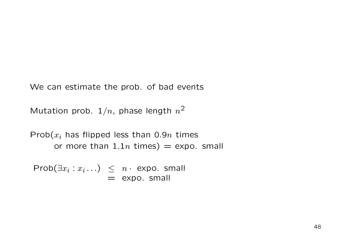We can estimate the prob. of bad events

Mutation prob.  $1/n$ , phase length  $n^{\mathbf{2}}$ 

 $\mathsf{Prob}(x_i$  has flipped less than 0.9 $n$  times or more than  $1.1n$  times)  $=$  expo. small

 $\mathsf{Prob}(\exists x_i:x_i\ldots) \;\;\leq\;\; n\cdot\; \mathsf{expo}.$  small  $=$  expo. small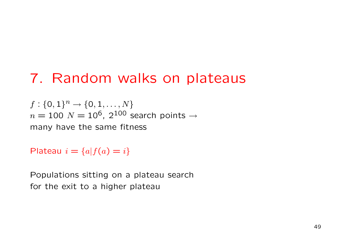## 7. Random walks on plateaus

 $f: \{0,1\}^n \rightarrow \{0,1,\ldots,N\}$  $n=100$   $N=10^6,~2^{100}$  search points  $\rightarrow$ many have the same fitness

Plateau  $i = \{a | f(a) = i\}$ 

Populations sitting on <sup>a</sup> plateau search for the exit to <sup>a</sup> higher plateau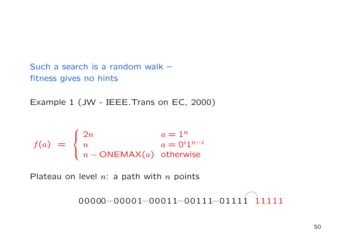Such a search is a random walk – fitness gives no hints

Example 1 (JW - IEEE.Trans on EC, 2000)

$$
f(a) = \begin{cases} 2n & a = 1^n \\ n & a = 0^i 1^{n-i} \\ n - \text{ONEMAX}(a) & \text{otherwise} \end{cases}
$$

Plateau on level  $n$ : a path with  $n$  points

 $00000 {-} 00001 {-} 00011 {-} 00111 {-} 01111 \quad 11111$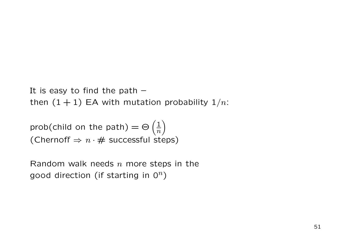It is easy to find the path – then  $(1+1)$  EA with mutation probability  $1/n\mathpunct{:}$ 

prob(child on the path) =  $\Theta\left(\frac{1}{n}\right)$ (Chernoff  $\Rightarrow$   $n \cdot \#$  successful steps)

Random walk needs  $n$  more steps in the good direction (if starting in  $0^n$ )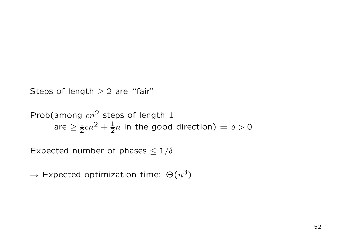Steps of length  $\geq 2$  are "fair"

Prob(among  $cn^2$  steps of length 1 are  $\geq \frac{1}{2}cn^2+\frac{1}{2}n$  in the good direction)  $=\delta>0$ 

Expected number of phases  $\leq 1/\delta$ 

 $\rightarrow$  Expected optimization time:  $\Theta(n^3)$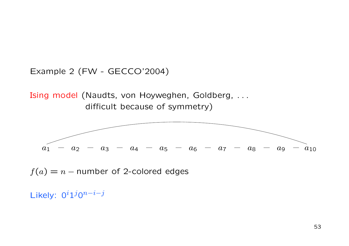Example 2 (FW - GECCO'2004)

Ising model (Naudts, von Hoyweghen, Goldberg, . . . difficult because of symmetry)



 $f(a) = n -$  number of 2-colored edges

Likely: 0<sup>i</sup>1<sup>j</sup>0<sup>n−i−j</sup>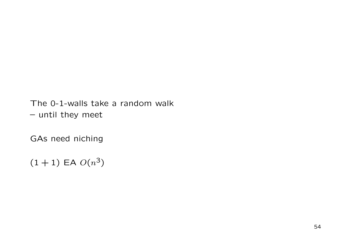The 0-1-walls take a random walk – until they meet

GAs need niching

 $(1 + 1)$  EA  $O(n^3)$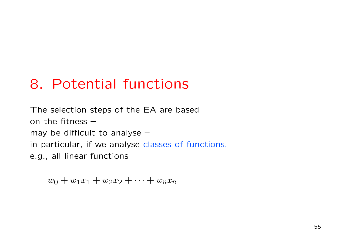## 8. Potential functions

The selection steps of the EA are based on the fitness – may be difficult to analyse – in particular, if we analyse classes of functions, e.g., all linear functions

 $w_0 + w_1x_1 + w_2x_2 + \cdots + w_nx_n$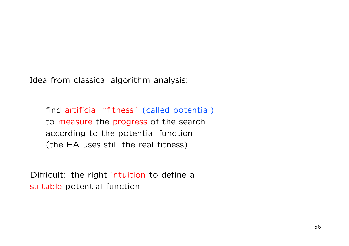Idea from classical algorithm analysis:

– find artificial "fitness" (called potential) to measure the progress of the search according to the potential function (the EA uses still the real fitness)

Difficult: the right intuition to define <sup>a</sup> suitable potential function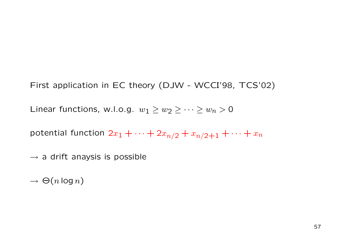First application in EC theory (DJW - WCCI'98, TCS'02)

Linear functions, w.l.o.g.  $w_1 \geq w_2 \geq \cdots \geq w_n > 0$ 

potential function  $2x_1+\cdots+2x_{n/2}+x_{n/2+1}+\cdots+x_n$ 

 $\rightarrow$  a drift anaysis is possible

 $\rightarrow \Theta(n\log n)$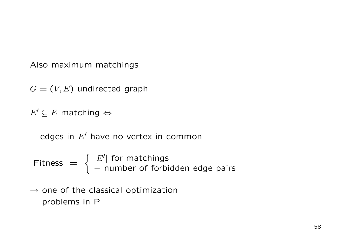Also maximum matchings

 $G=(V,E)$  undirected graph

 $E' \subseteq E$  matching  $\Leftrightarrow$ 

edges in  $E'$  have no vertex in common

Fitness  $\,=\,$  $=\begin{cases} |E'| \text{ for matchings} \ - \text{ number of forbidden edge pairs} \end{cases}$ 

 $\rightarrow$  one of the classical optimization problems in P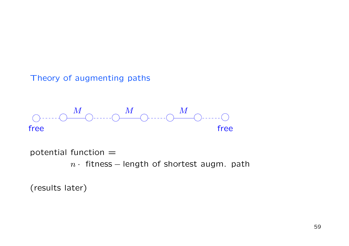Theory of augmenting paths



potential function  $=$ 

 $n\cdot$  fitness – length of shortest augm. path

(results later)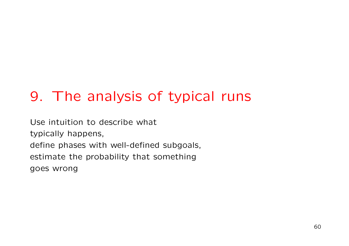# 9. The analysis of typical runs

Use intuition to describe what typically happens, define phases with well-defined subgoals, estimate the probability that something goes wrong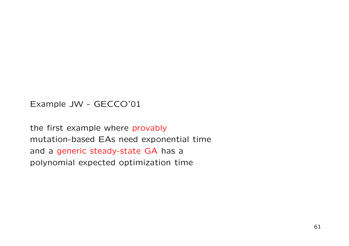Example JW - GECCO'01

the first example where provably mutation-based EAs need exponential time and <sup>a</sup> generic steady-state GA has <sup>a</sup> polynomial expected optimization time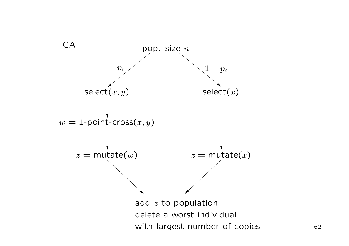

62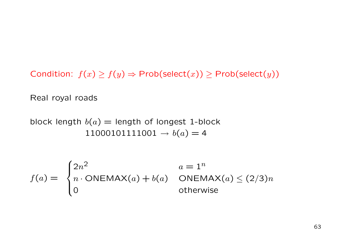Condition:  $f(x) \ge f(y) \Rightarrow$  Prob(select(x))  $\ge$  Prob(select(y))

Real royal roads

block length  $b(a) =$  length of longest 1-block  $11000101111001 \to b(a) = 4$ 

$$
f(a) = \begin{cases} 2n^2 & a = 1^n \\ n \cdot \text{ONEMAX}(a) + b(a) & \text{ONEMAX}(a) \le (2/3)n \\ 0 & \text{otherwise} \end{cases}
$$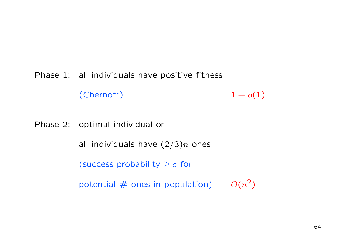Phase 1: all individuals have positive fitness

(Chernoff)  $1 + o(1)$ 

Phase 2: optimal individual or

all individuals have  $(2/3)n$  ones

(success probability  $\geq \varepsilon$  for

potential  $\#$  ones in population)  $O(n^2)$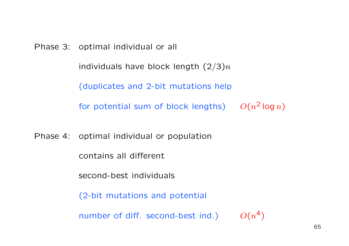Phase 3: optimal individual or all individuals have block length  $(2/3)n$ (duplicates and 2-bit mutations help for potential sum of block lengths)  $O(n^2\log n)$ 

Phase 4: optimal individual or population

contains all different

second-best individuals

(2-bit mutations and potential

number of diff. second-best ind.)  $O(n^4)$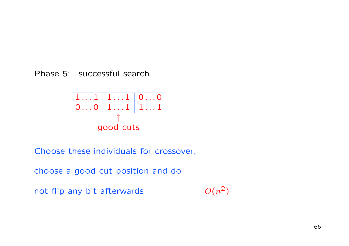Phase 5: successful search



Choose these individuals for crossover,

choose a good cut position and do

not flip any bit afterwards  $O(n^2)$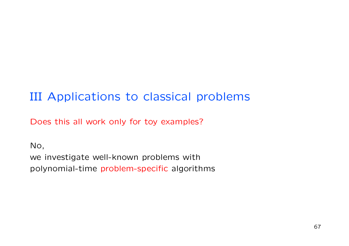### III Applications to classical problems

Does this all work only for toy examples?

No, we investigate well-known problems with polynomial-time problem-specific algorithms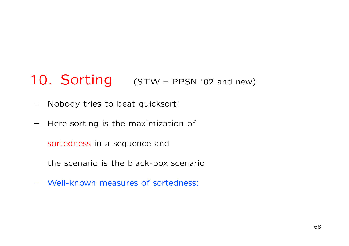## 10. Sorting (STW – PPSN '02 and new)

- Nobody tries to beat quicksort!
- Here sorting is the maximization of

sortedness in <sup>a</sup> sequence and

the scenario is the black-box scenario

– Well-known measures of sortedness: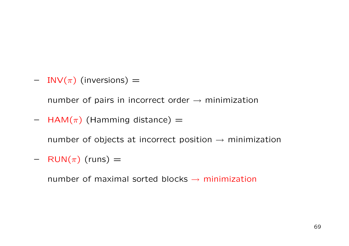$\hphantom{I}= \hphantom{I}\text{INV}(\pi)$  (inversions)  $\hphantom{I}=$ 

number of pairs in incorrect order  $\rightarrow$  minimization

 $-$  HAM $(\pi)$  (Hamming distance)  $=$ 

number of objects at incorrect position  $\rightarrow$  minimization

 $-$  RUN $(\pi)$  (runs)  $=$ 

number of maximal sorted blocks  $\rightarrow$  minimization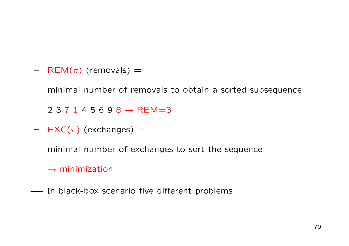$-$  REM $(\pi)$  (removals)  $=$ 

minimal number of removals to obtain <sup>a</sup> sorted subsequence

2 3 7 1 4 5 6 9 8 → REM=3

 $-$  EXC( $\pi$ ) (exchanges)  $=$ 

minimal number of exchanges to sort the sequence

 $\rightarrow$  minimization

 $\longrightarrow$  In black-box scenario five different problems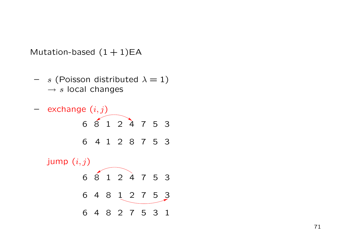Mutation-based  $(1+1)$ EA

 $\hspace{0.1cm}-\hspace{0.1cm}$   $s$  (Poisson distributed  $\lambda=1)$  $\rightarrow s$  local changes

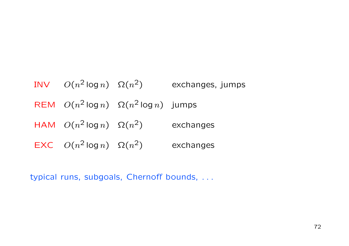$\mathsf{INV} \quad O(n^2\log n) \quad \Omega(n^2) \qquad \qquad \text{exchanges, jumps}$  $\mathsf{REM} \quad O(n^2 \log n) \quad \Omega(n^2 \log n) \quad \text{jumps}$  ${\sf HAM} \quad O(n^2 \log n) \quad \Omega(n^2) \qquad \qquad {\sf exchanges}$  $\mathsf{EXC} \quad O(n^2 \log n) \quad \Omega(n^2) \qquad \quad \text{exchange}$ 

typical runs, subgoals, Chernoff bounds, . . .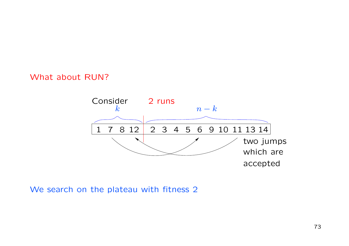#### What about RUN?



We search on the plateau with fitness 2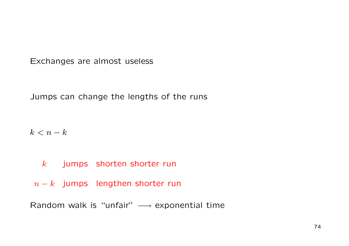Exchanges are almost useless

Jumps can change the lengths of the runs

 $k < n-k$ 

 $\,k$   $\,$  jumps  $\,$  shorten shorter run

 $n-k$  jumps lengthen shorter run

Random walk is "unfair"  $\longrightarrow$  exponential time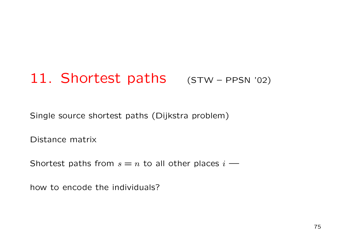## 11. Shortest paths (STW-PPSN '02)

Single source shortest paths (Dijkstra problem)

Distance matrix

Shortest paths from  $s=n$  to all other places  $i$  —

how to encode the individuals?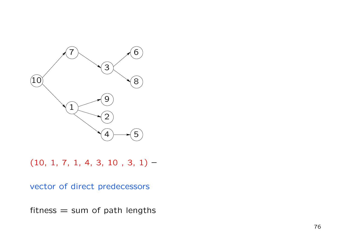

 $(10, 1, 7, 1, 4, 3, 10, 3, 1)$  -

vector of direct predecessors

fitness  $=$  sum of path lengths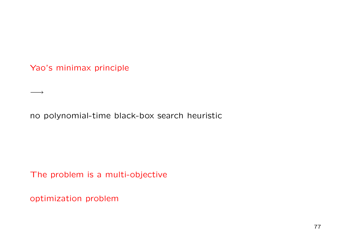Yao's minimax principle

−→

no polynomial-time black-box search heuristic

The problem is <sup>a</sup> multi-objective

optimization problem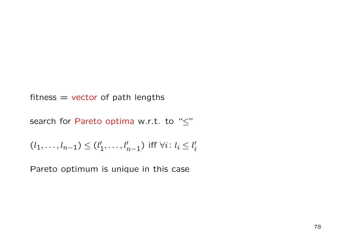fitness  $=$  vector of path lengths

search for Pareto optima w.r.t. to " $\leq$ "

$$
(l_1,\ldots,l_{n-1})\leq (l'_1,\ldots,l'_{n-1}) \text{ iff } \forall i\colon l_i\leq l'_i
$$

Pareto optimum is unique in this case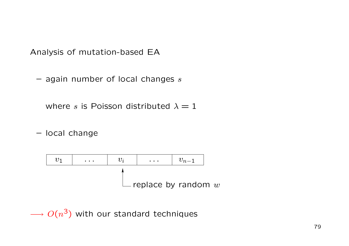Analysis of mutation-based EA

 $-$  again number of local changes  $s$ 

where  $s$  is Poisson distributed  $\lambda=1$ 

– local change



 $\longrightarrow O(n^3)$  with our standard techniques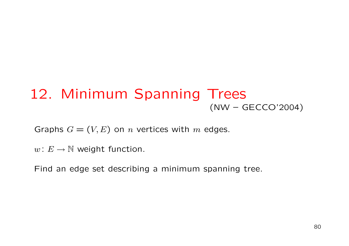### 12. Minimum Spanning Trees (NW – GECCO'2004)

Graphs  $G = (V, E)$  on *n* vertices with *m* edges.

 $w\colon E\to\mathbb{N}$  weight function.

Find an edge set describing <sup>a</sup> minimum spanning tree.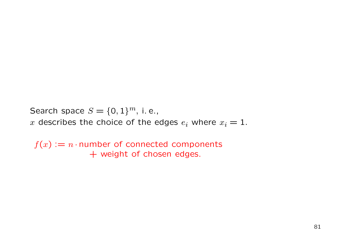Search space  $S=\{0,1\}^m,$  i.e.,

 $x$  describes the choice of the edges  $e_i$  where  $x_i = 1.$ 

 $f(x) := n \cdot$ number of connected components + weight of chosen edges.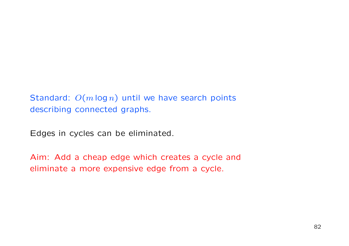Standard:  $O(m \log n)$  until we have search points describing connected graphs.

Edges in cycles can be eliminated.

Aim: Add <sup>a</sup> cheap edge which creates <sup>a</sup> cycle and eliminate a more expensive edge from <sup>a</sup> cycle.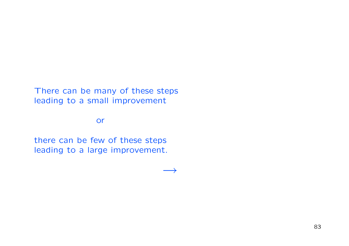There can be many of these steps leading to <sup>a</sup> small improvement

or

there can be few of these steps leading to <sup>a</sup> large improvement.

 $\longrightarrow$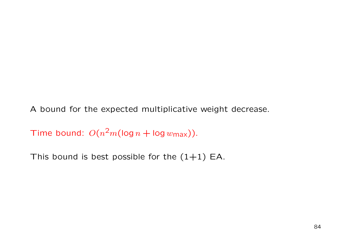A bound for the expected multiplicative weight decrease.

Time bound:  $O(n^2m(\log n + \log w_{\text{max}})).$ 

This bound is best possible for the  $(1\!+\!1)$  EA.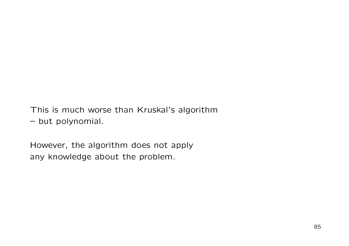This is much worse than Kruskal's algorithm

– but polynomial.

However, the algorithm does not apply any knowledge about the problem.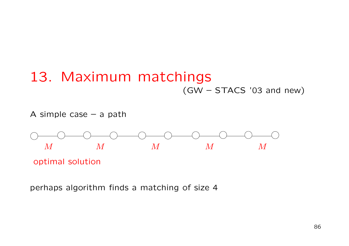## 13. Maximum matchings (GW – STACS '03 and new)



perhaps algorithm finds <sup>a</sup> matching of size 4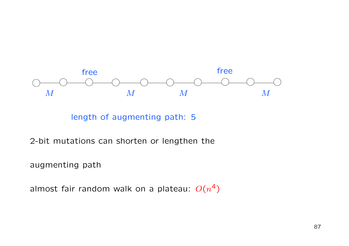

length of augmenting path: 5

2-bit mutations can shorten or lengthen the

augmenting path

almost fair random walk on a plateau:  $O(n^4)$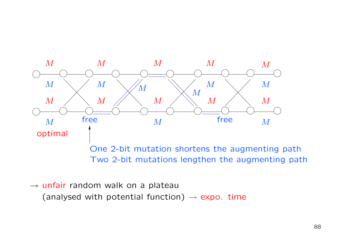

 $\rightarrow$  unfair random walk on a plateau (analysed with potential function)  $\rightarrow$  expo. time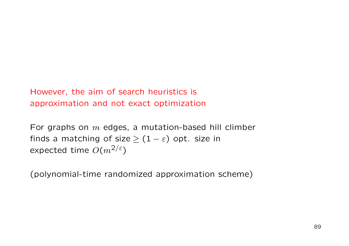However, the aim of search heuristics is approximation and not exact optimization

For graphs on  $m$  edges, a mutation-based hill climber finds a matching of size  $\geq (1-\varepsilon)$  opt. size in expected time  $O(m^{2/\varepsilon})$ 

(polynomial-time randomized approximation scheme)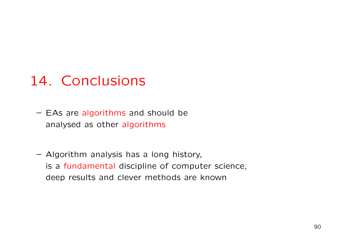# 14. Conclusions

- EAs are algorithms and should be analysed as other algorithms
- Algorithm analysis has <sup>a</sup> long history, is a fundamental discipline of computer science, deep results and clever methods are known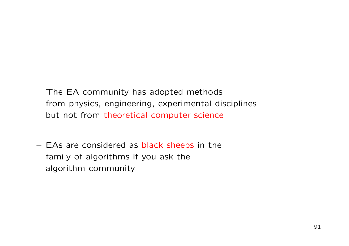- The EA community has adopted methods from physics, engineering, experimental disciplines but not from theoretical computer science
- EAs are considered as black sheeps in the family of algorithms if you ask the algorithm community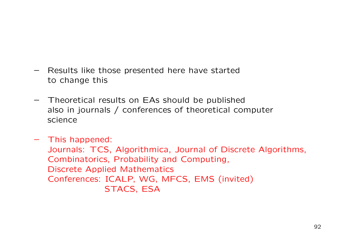- Results like those presented here have started to change this
- Theoretical results on EAs should be published also in journals / conferences of theoretical computer science
- This happened: Journals: TCS, Algorithmica, Journal of Discrete Algorithms, Combinatorics, Probability and Computing, Discrete Applied Mathematics Conferences: ICALP, WG, MFCS, EMS (invited) STACS, ESA